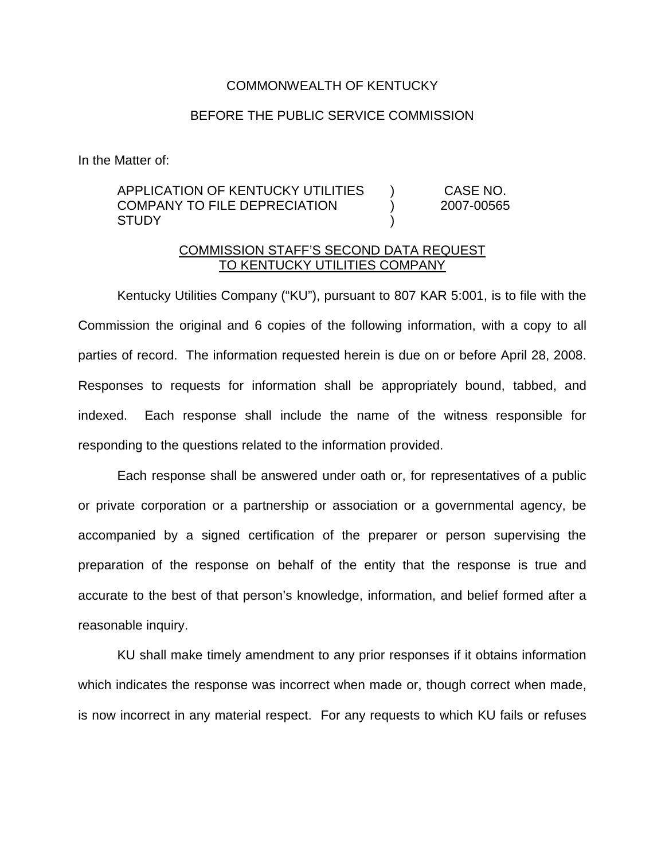## COMMONWEALTH OF KENTUCKY

## BEFORE THE PUBLIC SERVICE COMMISSION

In the Matter of:

## APPLICATION OF KENTUCKY UTILITIES COMPANY TO FILE DEPRECIATION **STUDY** ) ) ) CASE NO. 2007-00565

## COMMISSION STAFF'S SECOND DATA REQUEST TO KENTUCKY UTILITIES COMPANY

Kentucky Utilities Company ("KU"), pursuant to 807 KAR 5:001, is to file with the Commission the original and 6 copies of the following information, with a copy to all parties of record. The information requested herein is due on or before April 28, 2008. Responses to requests for information shall be appropriately bound, tabbed, and indexed. Each response shall include the name of the witness responsible for responding to the questions related to the information provided.

Each response shall be answered under oath or, for representatives of a public or private corporation or a partnership or association or a governmental agency, be accompanied by a signed certification of the preparer or person supervising the preparation of the response on behalf of the entity that the response is true and accurate to the best of that person's knowledge, information, and belief formed after a reasonable inquiry.

KU shall make timely amendment to any prior responses if it obtains information which indicates the response was incorrect when made or, though correct when made, is now incorrect in any material respect. For any requests to which KU fails or refuses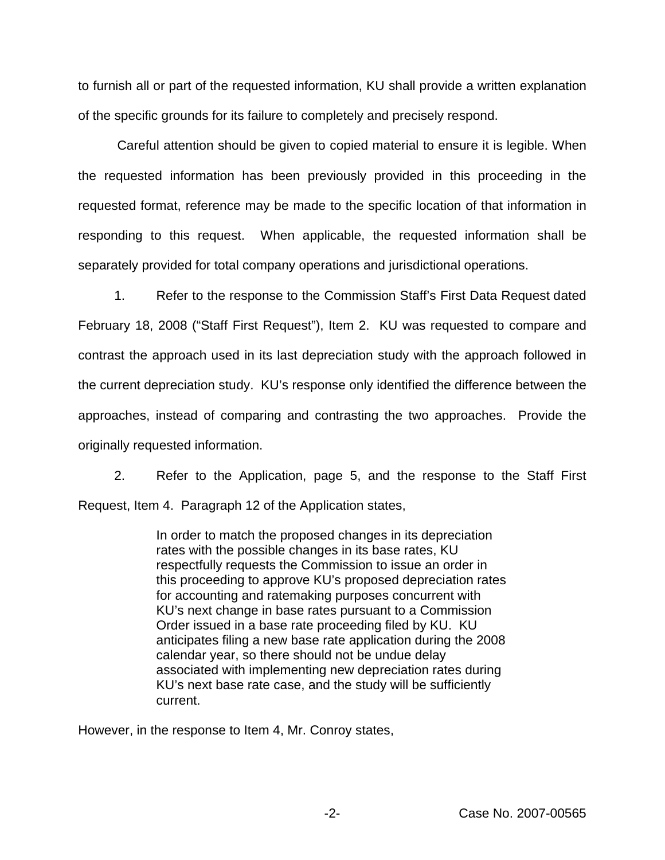to furnish all or part of the requested information, KU shall provide a written explanation of the specific grounds for its failure to completely and precisely respond.

Careful attention should be given to copied material to ensure it is legible. When the requested information has been previously provided in this proceeding in the requested format, reference may be made to the specific location of that information in responding to this request. When applicable, the requested information shall be separately provided for total company operations and jurisdictional operations.

1. Refer to the response to the Commission Staff's First Data Request dated February 18, 2008 ("Staff First Request"), Item 2. KU was requested to compare and contrast the approach used in its last depreciation study with the approach followed in the current depreciation study. KU's response only identified the difference between the approaches, instead of comparing and contrasting the two approaches. Provide the originally requested information.

2. Refer to the Application, page 5, and the response to the Staff First Request, Item 4. Paragraph 12 of the Application states,

> In order to match the proposed changes in its depreciation rates with the possible changes in its base rates, KU respectfully requests the Commission to issue an order in this proceeding to approve KU's proposed depreciation rates for accounting and ratemaking purposes concurrent with KU's next change in base rates pursuant to a Commission Order issued in a base rate proceeding filed by KU. KU anticipates filing a new base rate application during the 2008 calendar year, so there should not be undue delay associated with implementing new depreciation rates during KU's next base rate case, and the study will be sufficiently current.

However, in the response to Item 4, Mr. Conroy states,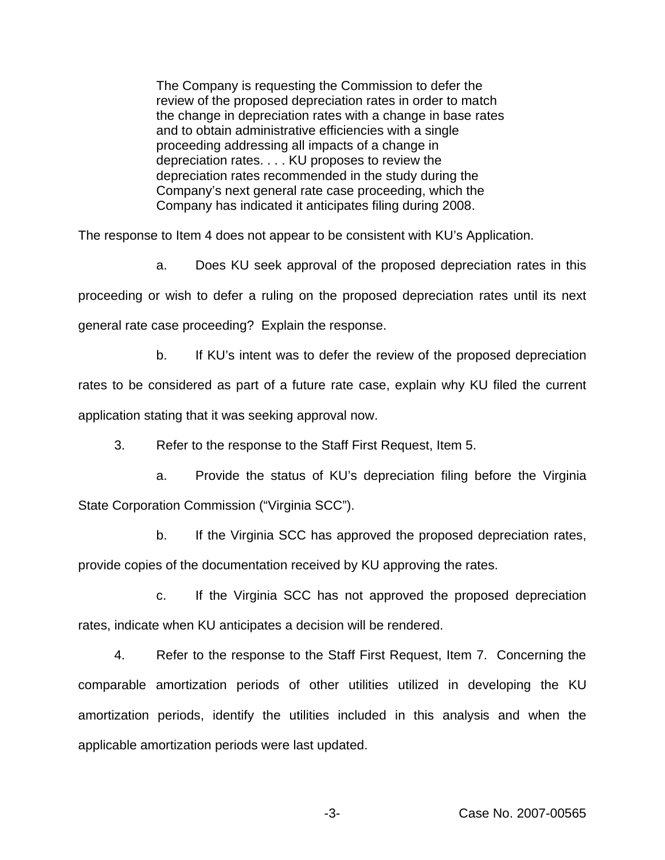The Company is requesting the Commission to defer the review of the proposed depreciation rates in order to match the change in depreciation rates with a change in base rates and to obtain administrative efficiencies with a single proceeding addressing all impacts of a change in depreciation rates. . . . KU proposes to review the depreciation rates recommended in the study during the Company's next general rate case proceeding, which the Company has indicated it anticipates filing during 2008.

The response to Item 4 does not appear to be consistent with KU's Application.

a. Does KU seek approval of the proposed depreciation rates in this proceeding or wish to defer a ruling on the proposed depreciation rates until its next general rate case proceeding? Explain the response.

b. If KU's intent was to defer the review of the proposed depreciation rates to be considered as part of a future rate case, explain why KU filed the current application stating that it was seeking approval now.

3. Refer to the response to the Staff First Request, Item 5.

a. Provide the status of KU's depreciation filing before the Virginia State Corporation Commission ("Virginia SCC").

b. If the Virginia SCC has approved the proposed depreciation rates, provide copies of the documentation received by KU approving the rates.

c. If the Virginia SCC has not approved the proposed depreciation rates, indicate when KU anticipates a decision will be rendered.

4. Refer to the response to the Staff First Request, Item 7. Concerning the comparable amortization periods of other utilities utilized in developing the KU amortization periods, identify the utilities included in this analysis and when the applicable amortization periods were last updated.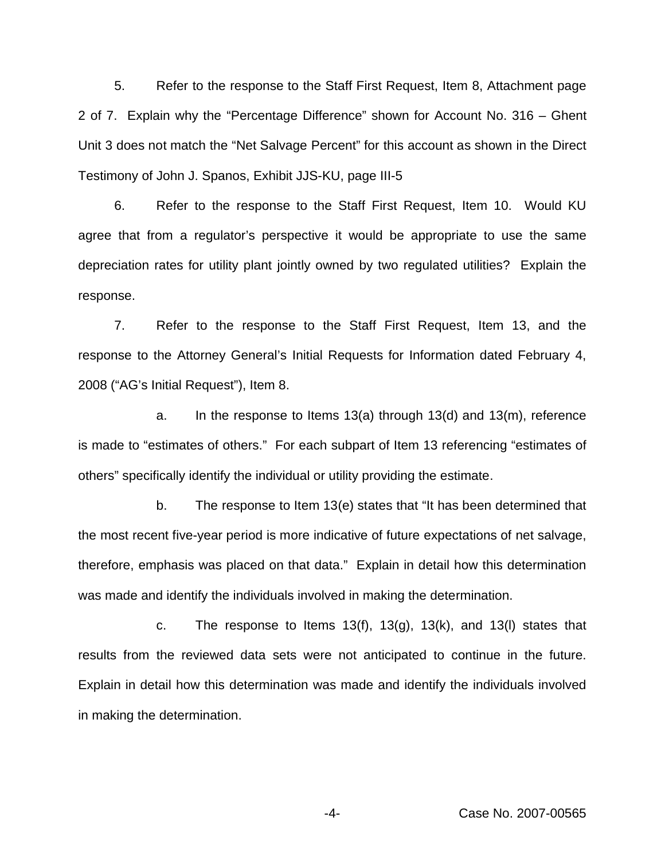5. Refer to the response to the Staff First Request, Item 8, Attachment page 2 of 7. Explain why the "Percentage Difference" shown for Account No. 316 – Ghent Unit 3 does not match the "Net Salvage Percent" for this account as shown in the Direct Testimony of John J. Spanos, Exhibit JJS-KU, page III-5

6. Refer to the response to the Staff First Request, Item 10. Would KU agree that from a regulator's perspective it would be appropriate to use the same depreciation rates for utility plant jointly owned by two regulated utilities? Explain the response.

7. Refer to the response to the Staff First Request, Item 13, and the response to the Attorney General's Initial Requests for Information dated February 4, 2008 ("AG's Initial Request"), Item 8.

a. In the response to Items 13(a) through 13(d) and 13(m), reference is made to "estimates of others." For each subpart of Item 13 referencing "estimates of others" specifically identify the individual or utility providing the estimate.

b. The response to Item 13(e) states that "It has been determined that the most recent five-year period is more indicative of future expectations of net salvage, therefore, emphasis was placed on that data." Explain in detail how this determination was made and identify the individuals involved in making the determination.

c. The response to Items 13(f), 13(g), 13(k), and 13(I) states that results from the reviewed data sets were not anticipated to continue in the future. Explain in detail how this determination was made and identify the individuals involved in making the determination.

-4- Case No. 2007-00565